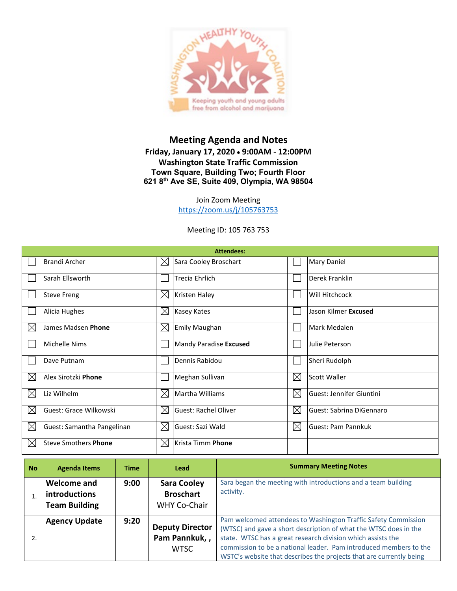

## **Meeting Agenda and Notes Friday, January 17, 2020** • **9:00AM - 12:00PM Washington State Traffic Commission Town Square, Building Two; Fourth Floor 621 8th Ave SE, Suite 409, Olympia, WA 98504**

Join Zoom Meeting <https://zoom.us/j/105763753>

Meeting ID: 105 763 753

| <b>Attendees:</b> |                             |             |                        |             |                           |  |  |
|-------------------|-----------------------------|-------------|------------------------|-------------|---------------------------|--|--|
|                   | <b>Brandi Archer</b>        | $\times$    | Sara Cooley Broschart  |             | Mary Daniel               |  |  |
|                   | Sarah Ellsworth             |             | <b>Trecia Ehrlich</b>  |             | Derek Franklin            |  |  |
|                   | <b>Steve Freng</b>          | $\times$    | <b>Kristen Haley</b>   |             | Will Hitchcock            |  |  |
|                   | Alicia Hughes               | $\boxtimes$ | <b>Kasey Kates</b>     |             | Jason Kilmer Excused      |  |  |
| $\boxtimes$       | James Madsen Phone          | $\boxtimes$ | <b>Emily Maughan</b>   |             | Mark Medalen              |  |  |
|                   | <b>Michelle Nims</b>        |             | Mandy Paradise Excused |             | Julie Peterson            |  |  |
|                   | Dave Putnam                 |             | Dennis Rabidou         |             | Sheri Rudolph             |  |  |
| $\boxtimes$       | Alex Sirotzki Phone         |             | Meghan Sullivan        | $\boxtimes$ | Scott Waller              |  |  |
| $\boxtimes$       | Liz Wilhelm                 | $\boxtimes$ | Martha Williams        | $\boxtimes$ | Guest: Jennifer Giuntini  |  |  |
| $\boxtimes$       | Guest: Grace Wilkowski      | $\bowtie$   | Guest: Rachel Oliver   | $\boxtimes$ | Guest: Sabrina DiGennaro  |  |  |
| $\boxtimes$       | Guest: Samantha Pangelinan  | $\boxtimes$ | Guest: Sazi Wald       | $\boxtimes$ | <b>Guest: Pam Pannkuk</b> |  |  |
| $\boxtimes$       | <b>Steve Smothers Phone</b> | $\bowtie$   | Krista Timm Phone      |             |                           |  |  |

| <b>No</b> | <b>Agenda Items</b>                                  | <b>Time</b> | Lead                                                          | <b>Summary Meeting Notes</b>                                                                                                                                                                                                                                                                                                                  |
|-----------|------------------------------------------------------|-------------|---------------------------------------------------------------|-----------------------------------------------------------------------------------------------------------------------------------------------------------------------------------------------------------------------------------------------------------------------------------------------------------------------------------------------|
|           | Welcome and<br>introductions<br><b>Team Building</b> | 9:00        | <b>Sara Cooley</b><br><b>Broschart</b><br><b>WHY Co-Chair</b> | Sara began the meeting with introductions and a team building<br>activity.                                                                                                                                                                                                                                                                    |
|           | <b>Agency Update</b>                                 | 9:20        | <b>Deputy Director</b><br>Pam Pannkuk,,<br><b>WTSC</b>        | Pam welcomed attendees to Washington Traffic Safety Commission<br>(WTSC) and gave a short description of what the WTSC does in the<br>state. WTSC has a great research division which assists the<br>commission to be a national leader. Pam introduced members to the<br>WSTC's website that describes the projects that are currently being |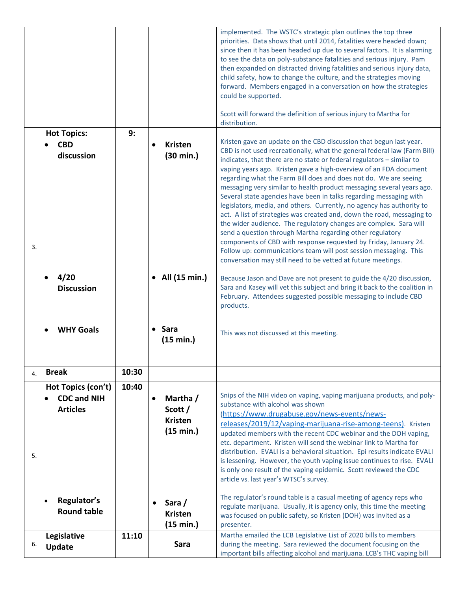|    |                                                                                                  |       |                                                                                                          | implemented. The WSTC's strategic plan outlines the top three<br>priorities. Data shows that until 2014, fatalities were headed down;<br>since then it has been headed up due to several factors. It is alarming<br>to see the data on poly-substance fatalities and serious injury. Pam<br>then expanded on distracted driving fatalities and serious injury data,<br>child safety, how to change the culture, and the strategies moving<br>forward. Members engaged in a conversation on how the strategies<br>could be supported.<br>Scott will forward the definition of serious injury to Martha for<br>distribution.                                                                                                                                                                                                                                                                                                                                                                                                                                                                                                                                                                                                                                                                    |
|----|--------------------------------------------------------------------------------------------------|-------|----------------------------------------------------------------------------------------------------------|-----------------------------------------------------------------------------------------------------------------------------------------------------------------------------------------------------------------------------------------------------------------------------------------------------------------------------------------------------------------------------------------------------------------------------------------------------------------------------------------------------------------------------------------------------------------------------------------------------------------------------------------------------------------------------------------------------------------------------------------------------------------------------------------------------------------------------------------------------------------------------------------------------------------------------------------------------------------------------------------------------------------------------------------------------------------------------------------------------------------------------------------------------------------------------------------------------------------------------------------------------------------------------------------------|
|    | <b>Hot Topics:</b>                                                                               | 9:    |                                                                                                          |                                                                                                                                                                                                                                                                                                                                                                                                                                                                                                                                                                                                                                                                                                                                                                                                                                                                                                                                                                                                                                                                                                                                                                                                                                                                                               |
| 3. | <b>CBD</b><br>discussion<br>4/20<br><b>Discussion</b><br><b>WHY Goals</b>                        |       | <b>Kristen</b><br>$\bullet$<br>$(30 \text{ min.})$<br>All (15 min.)<br>• Sara<br>(15 min.)               | Kristen gave an update on the CBD discussion that begun last year.<br>CBD is not used recreationally, what the general federal law (Farm Bill)<br>indicates, that there are no state or federal regulators - similar to<br>vaping years ago. Kristen gave a high-overview of an FDA document<br>regarding what the Farm Bill does and does not do. We are seeing<br>messaging very similar to health product messaging several years ago.<br>Several state agencies have been in talks regarding messaging with<br>legislators, media, and others. Currently, no agency has authority to<br>act. A list of strategies was created and, down the road, messaging to<br>the wider audience. The regulatory changes are complex. Sara will<br>send a question through Martha regarding other regulatory<br>components of CBD with response requested by Friday, January 24.<br>Follow up: communications team will post session messaging. This<br>conversation may still need to be vetted at future meetings.<br>Because Jason and Dave are not present to guide the 4/20 discussion,<br>Sara and Kasey will vet this subject and bring it back to the coalition in<br>February. Attendees suggested possible messaging to include CBD<br>products.<br>This was not discussed at this meeting. |
|    |                                                                                                  |       |                                                                                                          |                                                                                                                                                                                                                                                                                                                                                                                                                                                                                                                                                                                                                                                                                                                                                                                                                                                                                                                                                                                                                                                                                                                                                                                                                                                                                               |
| 4. | <b>Break</b>                                                                                     | 10:30 |                                                                                                          |                                                                                                                                                                                                                                                                                                                                                                                                                                                                                                                                                                                                                                                                                                                                                                                                                                                                                                                                                                                                                                                                                                                                                                                                                                                                                               |
| 5. | Hot Topics (con't)<br><b>CDC and NIH</b><br><b>Articles</b><br>Regulator's<br><b>Round table</b> | 10:40 | Martha /<br>$\bullet$<br>Scott /<br><b>Kristen</b><br>(15 min.)<br>Sara /<br><b>Kristen</b><br>(15 min.) | Snips of the NIH video on vaping, vaping marijuana products, and poly-<br>substance with alcohol was shown<br>(https://www.drugabuse.gov/news-events/news-<br>releases/2019/12/vaping-marijuana-rise-among-teens). Kristen<br>updated members with the recent CDC webinar and the DOH vaping,<br>etc. department. Kristen will send the webinar link to Martha for<br>distribution. EVALI is a behavioral situation. Epi results indicate EVALI<br>is lessening. However, the youth vaping issue continues to rise. EVALI<br>is only one result of the vaping epidemic. Scott reviewed the CDC<br>article vs. last year's WTSC's survey.<br>The regulator's round table is a casual meeting of agency reps who<br>regulate marijuana. Usually, it is agency only, this time the meeting<br>was focused on public safety, so Kristen (DOH) was invited as a<br>presenter.                                                                                                                                                                                                                                                                                                                                                                                                                      |
|    | Legislative                                                                                      | 11:10 |                                                                                                          | Martha emailed the LCB Legislative List of 2020 bills to members                                                                                                                                                                                                                                                                                                                                                                                                                                                                                                                                                                                                                                                                                                                                                                                                                                                                                                                                                                                                                                                                                                                                                                                                                              |
| 6. | Update                                                                                           |       | Sara                                                                                                     | during the meeting. Sara reviewed the document focusing on the<br>important bills affecting alcohol and marijuana. LCB's THC vaping bill                                                                                                                                                                                                                                                                                                                                                                                                                                                                                                                                                                                                                                                                                                                                                                                                                                                                                                                                                                                                                                                                                                                                                      |